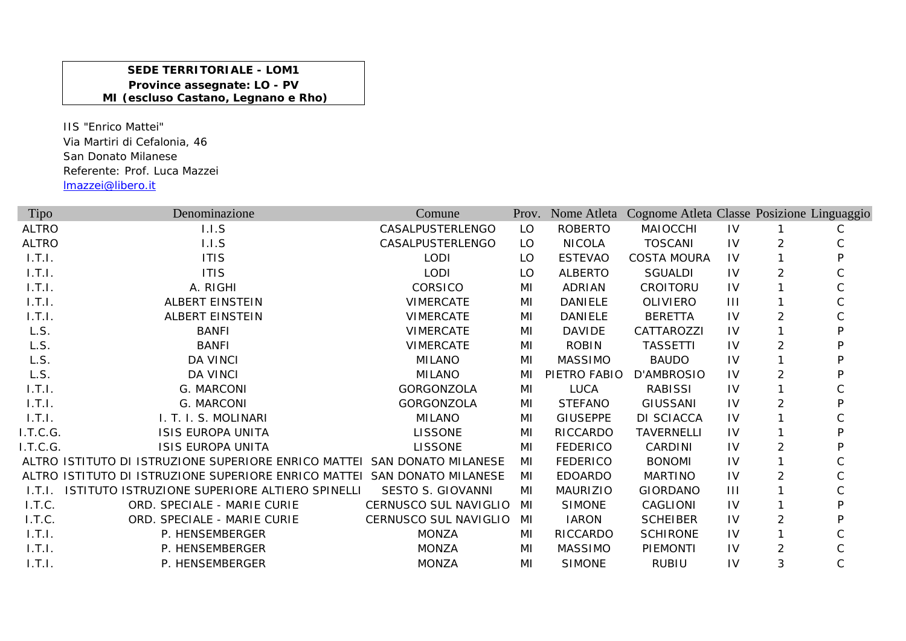## **SEDE TERRITORIALE - LOM1Province assegnate: LO - PV MI (escluso Castano, Legnano e Rho)**

IIS "Enrico Mattei"Via Martiri di Cefalonia, 46 San Donato MilaneseReferente: Prof. Luca Mazzei lmazzei@libero.it

| Tipo         | Denominazione                                                            | Comune                       |     | Prov. Nome Atleta | Cognome Atleta Classe Posizione Linguaggio |                |                |   |
|--------------|--------------------------------------------------------------------------|------------------------------|-----|-------------------|--------------------------------------------|----------------|----------------|---|
| <b>ALTRO</b> | 1.1.5                                                                    | CASALPUSTERLENGO             | LO  | <b>ROBERTO</b>    | <b>MAIOCCHI</b>                            | <b>IV</b>      |                | С |
| <b>ALTRO</b> | 1.1.5                                                                    | CASALPUSTERLENGO             | LO  | <b>NICOLA</b>     | TOSCANI                                    | <b>IV</b>      | $\overline{2}$ |   |
| 1.7.1.       | <b>ITIS</b>                                                              | <b>LODI</b>                  | LO. | <b>ESTEVAO</b>    | <b>COSTA MOURA</b>                         | <b>IV</b>      |                |   |
| 1.7.1.       | <b>ITIS</b>                                                              | <b>LODI</b>                  | LO  | <b>ALBERTO</b>    | <b>SGUALDI</b>                             | <b>IV</b>      | $\overline{2}$ |   |
| 1.T.1.       | A. RIGHI                                                                 | CORSICO                      | MI  | <b>ADRIAN</b>     | CROITORU                                   | <b>IV</b>      |                |   |
| 1.T.1.       | <b>ALBERT EINSTEIN</b>                                                   | <b>VIMERCATE</b>             | MI  | <b>DANIELE</b>    | <b>OLIVIERO</b>                            | $\mathbf{III}$ |                |   |
| 1.T.1.       | <b>ALBERT EINSTEIN</b>                                                   | <b>VIMERCATE</b>             | MI  | DANIELE           | <b>BERETTA</b>                             | <b>IV</b>      | 2              |   |
| L.S.         | <b>BANFI</b>                                                             | <b>VIMERCATE</b>             | MI  | <b>DAVIDE</b>     | CATTAROZZI                                 | <b>IV</b>      |                |   |
| L.S.         | <b>BANFI</b>                                                             | <b>VIMERCATE</b>             | MI  | <b>ROBIN</b>      | <b>TASSETTI</b>                            | <b>IV</b>      | $\overline{2}$ |   |
| L.S.         | <b>DA VINCI</b>                                                          | <b>MILANO</b>                | MI  | <b>MASSIMO</b>    | <b>BAUDO</b>                               | <b>IV</b>      |                |   |
| L.S.         | <b>DA VINCI</b>                                                          | <b>MILANO</b>                | MI  | PIETRO FABIO      | D'AMBROSIO                                 | <b>IV</b>      | $\overline{2}$ |   |
| 1.T.1.       | G. MARCONI                                                               | GORGONZOLA                   | MI  | <b>LUCA</b>       | <b>RABISSI</b>                             | 1V             |                |   |
| 1.7.1.       | G. MARCONI                                                               | GORGONZOLA                   | MI  | <b>STEFANO</b>    | <b>GIUSSANI</b>                            | <b>IV</b>      | 2              |   |
| 1.T.1.       | I. T. I. S. MOLINARI                                                     | <b>MILANO</b>                | MI  | <b>GIUSEPPE</b>   | DI SCIACCA                                 | <b>IV</b>      |                |   |
| I.T.C.G.     | <b>ISIS EUROPA UNITA</b>                                                 | <b>LISSONE</b>               | MI  | RICCARDO          | <b>TAVERNELLI</b>                          | <b>IV</b>      |                | D |
| I.T.C.G.     | <b>ISIS EUROPA UNITA</b>                                                 | <b>LISSONE</b>               | MI  | <b>FEDERICO</b>   | CARDINI                                    | <b>IV</b>      | 2              |   |
|              | ALTRO ISTITUTO DI ISTRUZIONE SUPERIORE ENRICO MATTEI SAN DONATO MILANESE |                              | MI  | <b>FEDERICO</b>   | <b>BONOMI</b>                              | <b>IV</b>      |                |   |
|              | ALTRO ISTITUTO DI ISTRUZIONE SUPERIORE ENRICO MATTEI SAN DONATO MILANESE |                              | MI  | <b>EDOARDO</b>    | <b>MARTINO</b>                             | IV             | 2              | С |
| 1.T.1.       | ISTITUTO ISTRUZIONE SUPERIORE ALTIERO SPINELLI                           | SESTO S. GIOVANNI            | MI  | <b>MAURIZIO</b>   | <b>GIORDANO</b>                            | $\mathbf{III}$ |                |   |
| I.T.C.       | ORD. SPECIALE - MARIE CURIE                                              | CERNUSCO SUL NAVIGLIO        | MI  | <b>SIMONE</b>     | CAGLIONI                                   | <b>IV</b>      |                |   |
| I.T.C.       | ORD. SPECIALE - MARIE CURIE                                              | <b>CERNUSCO SUL NAVIGLIO</b> | MI  | <b>IARON</b>      | <b>SCHEIBER</b>                            | <b>IV</b>      | 2              |   |
| 1.7.1.       | P. HENSEMBERGER                                                          | <b>MONZA</b>                 | MI  | RICCARDO          | <b>SCHIRONE</b>                            | IV             |                |   |
| 1.T.1.       | P. HENSEMBERGER                                                          | <b>MONZA</b>                 | MI  | <b>MASSIMO</b>    | <b>PIEMONTI</b>                            | <b>IV</b>      | 2              |   |
| 1.T.1.       | P. HENSEMBERGER                                                          | <b>MONZA</b>                 | MI  | <b>SIMONE</b>     | <b>RUBIU</b>                               | IV             | 3              | С |